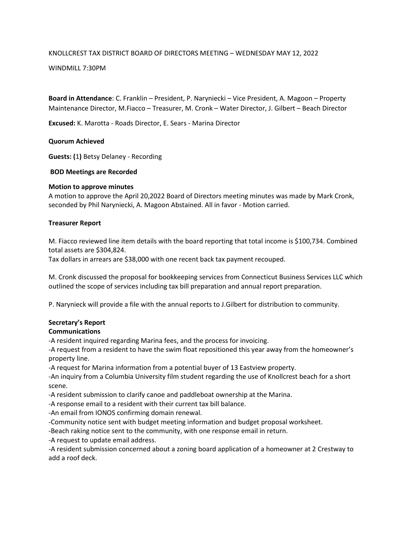# KNOLLCREST TAX DISTRICT BOARD OF DIRECTORS MEETING – WEDNESDAY MAY 12, 2022

## WINDMILL 7:30PM

**Board in Attendance**: C. Franklin – President, P. Naryniecki – Vice President, A. Magoon – Property Maintenance Director, M.Fiacco – Treasurer, M. Cronk – Water Director, J. Gilbert – Beach Director

**Excused:** K. Marotta - Roads Director, E. Sears - Marina Director

### **Quorum Achieved**

**Guests: (**1**)** Betsy Delaney - Recording

### **BOD Meetings are Recorded**

### **Motion to approve minutes**

A motion to approve the April 20,2022 Board of Directors meeting minutes was made by Mark Cronk, seconded by Phil Naryniecki, A. Magoon Abstained. All in favor - Motion carried.

### **Treasurer Report**

M. Fiacco reviewed line item details with the board reporting that total income is \$100,734. Combined total assets are \$304,824.

Tax dollars in arrears are \$38,000 with one recent back tax payment recouped.

M. Cronk discussed the proposal for bookkeeping services from Connecticut Business Services LLC which outlined the scope of services including tax bill preparation and annual report preparation.

P. Narynieck will provide a file with the annual reports to J.Gilbert for distribution to community.

## **Secretary's Report**

## **Communications**

-A resident inquired regarding Marina fees, and the process for invoicing.

-A request from a resident to have the swim float repositioned this year away from the homeowner's property line.

-A request for Marina information from a potential buyer of 13 Eastview property.

-An inquiry from a Columbia University film student regarding the use of Knollcrest beach for a short scene.

-A resident submission to clarify canoe and paddleboat ownership at the Marina.

-A response email to a resident with their current tax bill balance.

-An email from IONOS confirming domain renewal.

-Community notice sent with budget meeting information and budget proposal worksheet.

-Beach raking notice sent to the community, with one response email in return.

-A request to update email address.

-A resident submission concerned about a zoning board application of a homeowner at 2 Crestway to add a roof deck.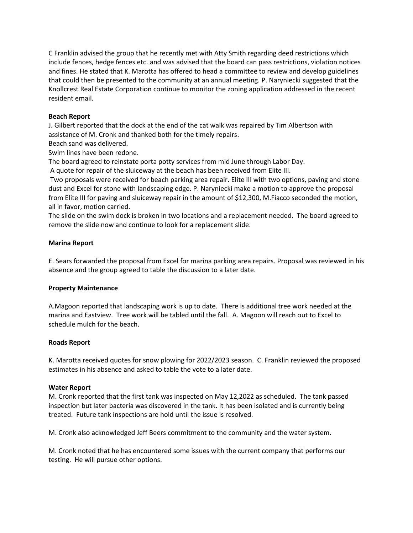C Franklin advised the group that he recently met with Atty Smith regarding deed restrictions which include fences, hedge fences etc. and was advised that the board can pass restrictions, violation notices and fines. He stated that K. Marotta has offered to head a committee to review and develop guidelines that could then be presented to the community at an annual meeting. P. Naryniecki suggested that the Knollcrest Real Estate Corporation continue to monitor the zoning application addressed in the recent resident email.

## **Beach Report**

J. Gilbert reported that the dock at the end of the cat walk was repaired by Tim Albertson with assistance of M. Cronk and thanked both for the timely repairs.

Beach sand was delivered.

Swim lines have been redone.

The board agreed to reinstate porta potty services from mid June through Labor Day.

A quote for repair of the sluiceway at the beach has been received from Elite III.

Two proposals were received for beach parking area repair. Elite III with two options, paving and stone dust and Excel for stone with landscaping edge. P. Naryniecki make a motion to approve the proposal from Elite III for paving and sluiceway repair in the amount of \$12,300, M.Fiacco seconded the motion, all in favor, motion carried.

The slide on the swim dock is broken in two locations and a replacement needed. The board agreed to remove the slide now and continue to look for a replacement slide.

## **Marina Report**

E. Sears forwarded the proposal from Excel for marina parking area repairs. Proposal was reviewed in his absence and the group agreed to table the discussion to a later date.

## **Property Maintenance**

A.Magoon reported that landscaping work is up to date. There is additional tree work needed at the marina and Eastview. Tree work will be tabled until the fall. A. Magoon will reach out to Excel to schedule mulch for the beach.

#### **Roads Report**

K. Marotta received quotes for snow plowing for 2022/2023 season. C. Franklin reviewed the proposed estimates in his absence and asked to table the vote to a later date.

#### **Water Report**

M. Cronk reported that the first tank was inspected on May 12,2022 as scheduled. The tank passed inspection but later bacteria was discovered in the tank. It has been isolated and is currently being treated. Future tank inspections are hold until the issue is resolved.

M. Cronk also acknowledged Jeff Beers commitment to the community and the water system.

M. Cronk noted that he has encountered some issues with the current company that performs our testing. He will pursue other options.